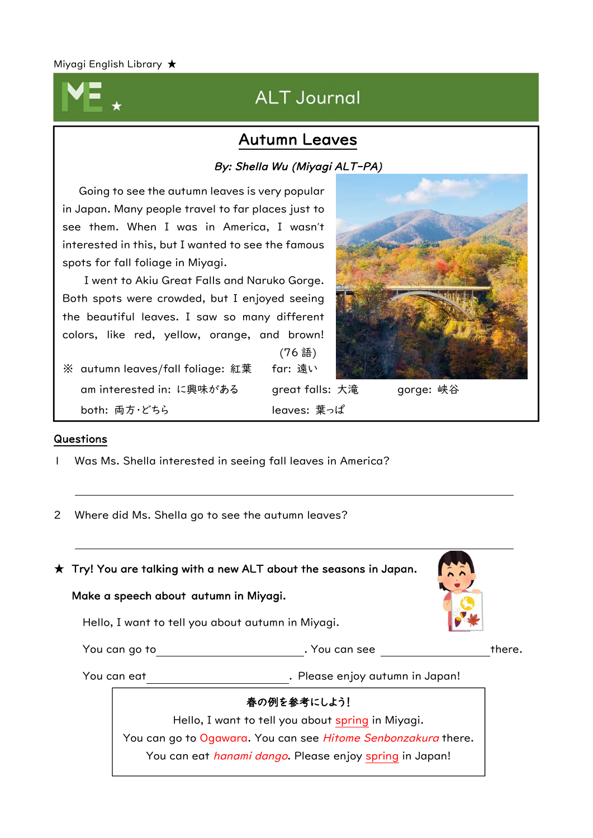## ALT Journal

## Autumn Leaves

#### By: Shella Wu (Miyagi ALT-PA)

Going to see the autumn leaves is very popular in Japan. Many people travel to far places just to see them. When I was in America, I wasn't interested in this, but I wanted to see the famous spots for fall foliage in Miyagi. I went to Akiu Great Falls and Naruko Gorge. Both spots were crowded, but I enjoyed seeing the beautiful leaves. I saw so many different colors, like red, yellow, orange, and brown! (76 語) ※ autumn leaves/fall foliage: 紅葉 far: 遠い am interested in: に興味がある great falls: 大滝 gorge: 峡谷

both: 両方・どちら leaves: 葉っぱ

#### Questions

Ļ

1 Was Ms. Shella interested in seeing fall leaves in America?

2 Where did Ms. Shella go to see the autumn leaves?

 $\star$  Try! You are talking with a new ALT about the seasons in Japan.

#### Make a speech about autumn in Miyagi.

Hello, I want to tell you about autumn in Miyagi.

You can go to **there.** There is a section of the set of the there.

You can eat **. In the case of the Case** enjoy autumn in Japan!

#### 春の例を参考にしよう!

Hello, I want to tell you about spring in Miyagi. You can go to Ogawara. You can see Hitome Senbonzakura there. You can eat *hanami dango*. Please enjoy spring in Japan!